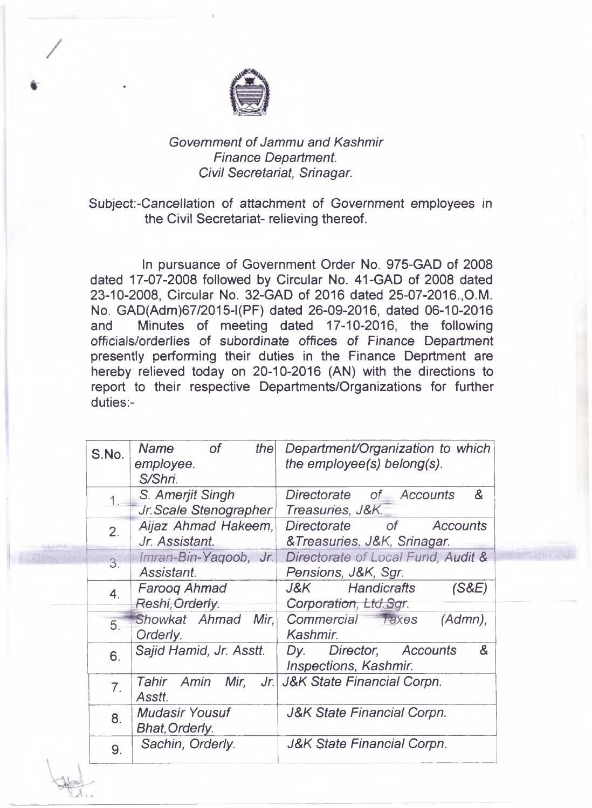

## *Government of Jammu and Kashmir Finance Department. Civil Secretariat, Srinagar.*

## Subject-Cancellation of attachment *of Government* employees in the Civil Secretariat- relieving thereof.

In pursuance of Government Order No. 975-GAD of 2008 dated 17-07-2008 followed by Circular No. 41-GAD of 2008 dated 23-10-2008, Circular No. 32-GAD of 2016 dated 25-07-2016.,O.M. No. GAD(Adm)67/2015-l(PF) dated 26-09-2016, dated 06-10-2016 and Minutes of meeting dated 17-10-2016, the following officials/orderlies of subordinate offices of Finance Department presently performing their duties in the Finance Deprtment are hereby relieved today on 20-10-2016 (AN) with the directions to report to their respective Departments/Organizations for further duties:-

| S.No.            | <b>Name</b><br>the<br><b>of</b> | Department/Organization to which         |
|------------------|---------------------------------|------------------------------------------|
|                  | employee.                       | the employee(s) belong(s).               |
|                  | S/Shri.                         |                                          |
|                  | S. Amerjit Singh                | Directorate of Accounts<br>&             |
|                  | Jr. Scale Stenographer          | Treasuries, J&K.                         |
| 2.               | Aijaz Ahmad Hakeem,             | Directorate of Accounts                  |
|                  | Jr. Assistant.                  | &Treasuries, J&K, Srinagar.              |
| $\overline{3}$ . | Imran-Bin-Yaqoob, Jr.           | Directorate of Local Fund, Audit &       |
|                  | Assistant.                      | Pensions, J&K, Sgr.                      |
| $\overline{4}$ . | <b>Faroog Ahmad</b>             | Handicrafts<br>(S&E)<br>J&K.             |
|                  | Reshi, Orderly.                 | Corporation, Ltd.Sar.                    |
| 5.               | Showkat Ahmad Mir,              | Commercial Taxes<br>$(Admn)$ ,           |
|                  | Orderly.                        | Kashmir.                                 |
| 6.               | Sajid Hamid, Jr. Asstt.         | &<br>Director, Accounts<br>Dy.           |
|                  |                                 | <b>Inspections, Kashmir.</b>             |
| $\overline{7}$ . | Tahir                           | Amin Mir, Jr. J&K State Financial Corpn. |
|                  | Asstt.                          |                                          |
| 8.               | <b>Mudasir Yousuf</b>           | <b>J&amp;K State Financial Corpn.</b>    |
|                  | <b>Bhat, Orderly.</b>           |                                          |
| 9.               | Sachin, Orderly.                | <b>J&amp;K State Financial Corpn.</b>    |
|                  |                                 |                                          |

**MARK AND**